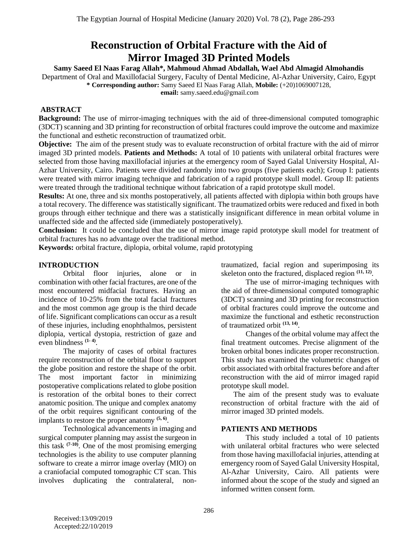# **Reconstruction of Orbital Fracture with the Aid of Mirror Imaged 3D Printed Models**

**Samy Saeed El Naas Farag Allah\*, Mahmoud Ahmad Abdallah, Wael Abd Almagid Almohandis**

Department of Oral and Maxillofacial Surgery, Faculty of Dental Medicine, Al-Azhar University, Cairo, Egypt **\* Corresponding author:** Samy Saeed El Naas Farag Allah, **Mobile:** (+20)1069007128,

**email:** samy.saeed.edu@gmail.com

# **ABSTRACT**

**Background:** The use of mirror-imaging techniques with the aid of three-dimensional computed tomographic (3DCT) scanning and 3D printing for reconstruction of orbital fractures could improve the outcome and maximize the functional and esthetic reconstruction of traumatized orbit.

**Objective:** The aim of the present study was to evaluate reconstruction of orbital fracture with the aid of mirror imaged 3D printed models. **Patients and Methods:** A total of 10 patients with unilateral orbital fractures were selected from those having maxillofacial injuries at the emergency room of Sayed Galal University Hospital, Al-Azhar University, Cairo. Patients were divided randomly into two groups (five patients each); Group I: patients were treated with mirror imaging technique and fabrication of a rapid prototype skull model. Group II: patients were treated through the traditional technique without fabrication of a rapid prototype skull model.

**Results:** At one, three and six months postoperatively, all patients affected with diplopia within both groups have a total recovery. The difference was statistically significant. The traumatized orbits were reduced and fixed in both groups through either technique and there was a statistically insignificant difference in mean orbital volume in unaffected side and the affected side (immediately postoperatively).

**Conclusion:** It could be concluded that the use of mirror image rapid prototype skull model for treatment of orbital fractures has no advantage over the traditional method.

**Keywords:** orbital fracture, diplopia, orbital volume, rapid prototyping

## **INTRODUCTION**

Orbital floor injuries, alone or in combination with other facial fractures, are one of the most encountered midfacial fractures. Having an incidence of 10-25% from the total facial fractures and the most common age group is the third decade of life. Significant complications can occur as a result of these injuries, including enophthalmos, persistent diplopia, vertical dystopia, restriction of gaze and even blindness **(1- 4)** .

The majority of cases of orbital fractures require reconstruction of the orbital floor to support the globe position and restore the shape of the orbit. The most important factor in minimizing postoperative complications related to globe position is restoration of the orbital bones to their correct anatomic position. The unique and complex anatomy of the orbit requires significant contouring of the implants to restore the proper anatomy **(5, 6)** .

Technological advancements in imaging and surgical computer planning may assist the surgeon in this task  $(7-10)$ . One of the most promising emerging technologies is the ability to use computer planning software to create a mirror image overlay (MIO) on a craniofacial computed tomographic CT scan. This involves duplicating the contralateral, nontraumatized, facial region and superimposing its skeleton onto the fractured, displaced region **(11, 12)** .

The use of mirror-imaging techniques with the aid of three-dimensional computed tomographic (3DCT) scanning and 3D printing for reconstruction of orbital fractures could improve the outcome and maximize the functional and esthetic reconstruction of traumatized orbit **(13, 14)** .

Changes of the orbital volume may affect the final treatment outcomes. Precise alignment of the broken orbital bones indicates proper reconstruction. This study has examined the volumetric changes of orbit associated with orbital fractures before and after reconstruction with the aid of mirror imaged rapid prototype skull model.

The aim of the present study was to evaluate reconstruction of orbital fracture with the aid of mirror imaged 3D printed models.

#### **PATIENTS AND METHODS**

This study included a total of 10 patients with unilateral orbital fractures who were selected from those having maxillofacial injuries, attending at emergency room of Sayed Galal University Hospital, Al-Azhar University, Cairo. All patients were informed about the scope of the study and signed an informed written consent form.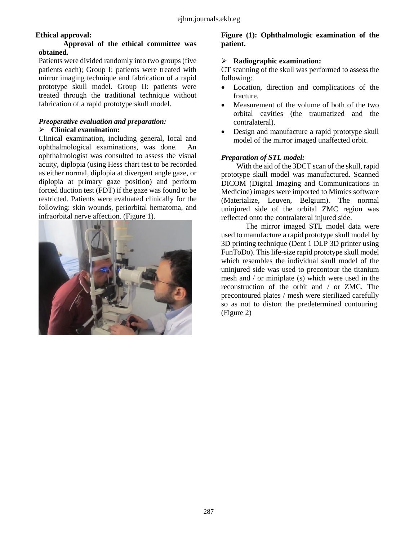# **Ethical approval:**

#### **Approval of the ethical committee was obtained.**

Patients were divided randomly into two groups (five patients each); Group I: patients were treated with mirror imaging technique and fabrication of a rapid prototype skull model. Group II: patients were treated through the traditional technique without fabrication of a rapid prototype skull model.

#### *Preoperative evaluation and preparation:* **Clinical examination:**

Clinical examination, including general, local and ophthalmological examinations, was done. An ophthalmologist was consulted to assess the visual acuity, diplopia (using Hess chart test to be recorded as either normal, diplopia at divergent angle gaze, or diplopia at primary gaze position) and perform forced duction test (FDT) if the gaze was found to be restricted. Patients were evaluated clinically for the following: skin wounds, periorbital hematoma, and infraorbital nerve affection. (Figure 1).



## **Figure (1): Ophthalmologic examination of the patient.**

## **Radiographic examination:**

CT scanning of the skull was performed to assess the following:

- Location, direction and complications of the fracture.
- Measurement of the volume of both of the two orbital cavities (the traumatized and the contralateral).
- Design and manufacture a rapid prototype skull model of the mirror imaged unaffected orbit.

## *Preparation of STL model:*

With the aid of the 3DCT scan of the skull, rapid prototype skull model was manufactured. Scanned DICOM (Digital Imaging and Communications in Medicine) images were imported to Mimics software (Materialize, Leuven, Belgium). The normal uninjured side of the orbital ZMC region was reflected onto the contralateral injured side.

The mirror imaged STL model data were used to manufacture a rapid prototype skull model by 3D printing technique (Dent 1 DLP 3D printer using FunToDo). This life-size rapid prototype skull model which resembles the individual skull model of the uninjured side was used to precontour the titanium mesh and / or miniplate (s) which were used in the reconstruction of the orbit and / or ZMC. The precontoured plates / mesh were sterilized carefully so as not to distort the predetermined contouring. (Figure 2)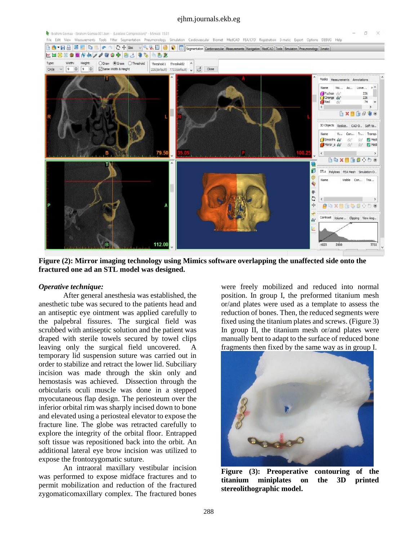#### ejhm.journals.ekb.eg



**Figure (2): Mirror imaging technology using Mimics software overlapping the unaffected side onto the fractured one ad an STL model was designed.**

#### *Operative technique:*

After general anesthesia was established, the anesthetic tube was secured to the patients head and an antiseptic eye ointment was applied carefully to the palpebral fissures. The surgical field was scrubbed with antiseptic solution and the patient was draped with sterile towels secured by towel clips leaving only the surgical field uncovered. A temporary lid suspension suture was carried out in order to stabilize and retract the lower lid. Subciliary incision was made through the skin only and hemostasis was achieved. Dissection through the orbicularis oculi muscle was done in a stepped myocutaneous flap design. The periosteum over the inferior orbital rim was sharply incised down to bone and elevated using a periosteal elevator to expose the fracture line. The globe was retracted carefully to explore the integrity of the orbital floor. Entrapped soft tissue was repositioned back into the orbit. An additional lateral eye brow incision was utilized to expose the frontozygomatic suture.

An intraoral maxillary vestibular incision was performed to expose midface fractures and to permit mobilization and reduction of the fractured zygomaticomaxillary complex. The fractured bones were freely mobilized and reduced into normal position. In group I, the preformed titanium mesh or/and plates were used as a template to assess the reduction of bones. Then, the reduced segments were fixed using the titanium plates and screws. (Figure 3) In group II, the titanium mesh or/and plates were manually bent to adapt to the surface of reduced bone fragments then fixed by the same way as in group I.



**Figure (3): Preoperative contouring of the titanium miniplates on the 3D printed stereolithographic model.**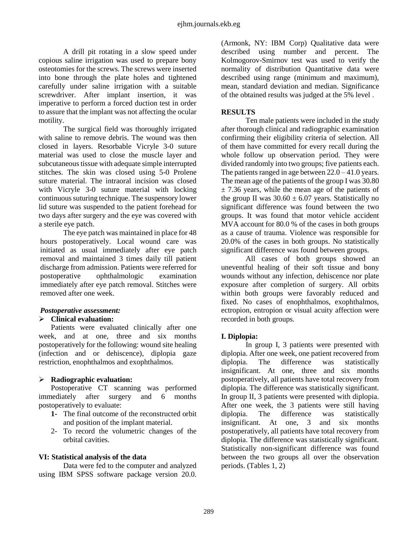A drill pit rotating in a slow speed under copious saline irrigation was used to prepare bony osteotomies for the screws. The screws were inserted into bone through the plate holes and tightened carefully under saline irrigation with a suitable screwdriver. After implant insertion, it was imperative to perform a forced duction test in order to assure that the implant was not affecting the ocular motility.

The surgical field was thoroughly irrigated with saline to remove debris. The wound was then closed in layers. Resorbable Vicryle 3-0 suture material was used to close the muscle layer and subcutaneous tissue with adequate simple interrupted stitches. The skin was closed using 5-0 Prolene suture material. The intraoral incision was closed with Vicryle 3-0 suture material with locking continuous suturing technique. The suspensory lower lid suture was suspended to the patient forehead for two days after surgery and the eye was covered with a sterile eye patch.

The eye patch was maintained in place for 48 hours postoperatively. Local wound care was initiated as usual immediately after eye patch removal and maintained 3 times daily till patient discharge from admission. Patients were referred for postoperative ophthalmologic examination immediately after eye patch removal. Stitches were removed after one week.

#### *Postoperative assessment:*

## **Clinical evaluation:**

Patients were evaluated clinically after one week, and at one, three and six months postoperatively for the following: wound site healing (infection and or dehiscence), diplopia gaze restriction, enophthalmos and exophthalmos.

#### **Radiographic evaluation:**

Postoperative CT scanning was performed immediately after surgery and 6 months postoperatively to evaluate:

- **1-** The final outcome of the reconstructed orbit and position of the implant material.
- 2- To record the volumetric changes of the orbital cavities.

#### **VI: Statistical analysis of the data**

Data were fed to the computer and analyzed using IBM SPSS software package version 20.0.

(Armonk, NY: IBM Corp) Qualitative data were described using number and percent. The Kolmogorov-Smirnov test was used to verify the normality of distribution Quantitative data were described using range (minimum and maximum), mean, standard deviation and median. Significance of the obtained results was judged at the 5% level .

#### **RESULTS**

Ten male patients were included in the study after thorough clinical and radiographic examination confirming their eligibility criteria of selection. All of them have committed for every recall during the whole follow up observation period. They were divided randomly into two groups; five patients each. The patients ranged in age between  $22.0 - 41.0$  years. The mean age of the patients of the group I was 30.80  $\pm$  7.36 years, while the mean age of the patients of the group II was  $30.60 \pm 6.07$  years. Statistically no significant difference was found between the two groups. It was found that motor vehicle accident MVA account for 80.0 % of the cases in both groups as a cause of trauma. Violence was responsible for 20.0% of the cases in both groups. No statistically significant difference was found between groups.

All cases of both groups showed an uneventful healing of their soft tissue and bony wounds without any infection, dehiscence nor plate exposure after completion of surgery. All orbits within both groups were favorably reduced and fixed. No cases of enophthalmos, exophthalmos, ectropion, entropion or visual acuity affection were recorded in both groups.

#### **I. Diplopia:**

In group I, 3 patients were presented with diplopia. After one week, one patient recovered from diplopia. The difference was statistically insignificant. At one, three and six months postoperatively, all patients have total recovery from diplopia. The difference was statistically significant. In group II, 3 patients were presented with diplopia. After one week, the 3 patients were still having diplopia. The difference was statistically insignificant. At one, 3 and six months postoperatively, all patients have total recovery from diplopia. The difference was statistically significant. Statistically non-significant difference was found between the two groups all over the observation periods. (Tables 1, 2)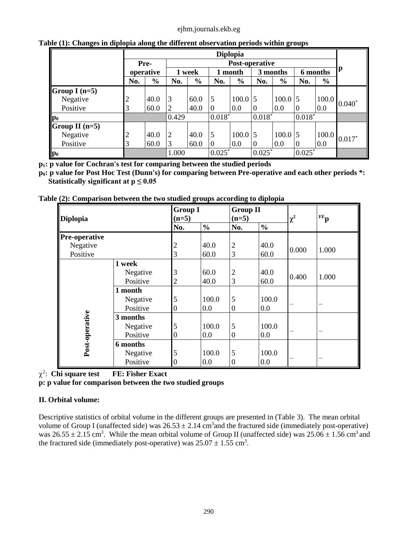#### ejhm.journals.ekb.eg

|                  |                | <b>Diplopia</b>               |                |               |                |               |                |               |                  |               |                 |
|------------------|----------------|-------------------------------|----------------|---------------|----------------|---------------|----------------|---------------|------------------|---------------|-----------------|
|                  |                | <b>Post-operative</b><br>Pre- |                |               |                |               |                |               |                  |               |                 |
|                  | operative      |                               | 1 week         |               | month          |               | 3 months       |               | 6 months         |               | p               |
|                  | No.            | $\frac{6}{6}$                 | No.            | $\frac{0}{0}$ | No.            | $\frac{6}{6}$ | No.            | $\frac{0}{0}$ | No.              | $\frac{0}{0}$ |                 |
| Group I $(n=5)$  |                |                               |                |               |                |               |                |               |                  |               |                 |
| Negative         | $\overline{c}$ | 40.0                          | 3              | 60.0          | 5              | $100.0$ 5     |                | $100.0$ 5     |                  | 100.0         | $0.040^{\circ}$ |
| Positive         | 3              | 60.0                          | $\overline{2}$ | 40.0          | $\overline{0}$ | 0.0           | $\overline{0}$ | 0.0           | $\boldsymbol{0}$ | 0.0           |                 |
| $\mathbf{p}_0$   |                |                               | 0.429          |               | $0.018*$       |               | $0.018*$       |               | $0.018*$         |               |                 |
| Group II $(n=5)$ |                |                               |                |               |                |               |                |               |                  |               |                 |
| Negative         | 2              | 40.0                          | $\overline{2}$ | 40.0          | 5              | $100.0$ 5     |                | $100.0$ 5     |                  | 100.0         | $0.017*$        |
| Positive         | 3              | 60.0                          | 3              | 60.0          | $\overline{0}$ | 0.0           | $\overline{0}$ | 0.0           | $\boldsymbol{0}$ | 0.0           |                 |
| $\mathbf{p}_0$   |                |                               | 1.000          |               | $0.025*$       |               | $0.025*$       |               | $0.025*$         |               |                 |

**Table (1): Changes in diplopia along the different observation periods within groups** 

**p1: p value for Cochran's test for comparing between the studied periods**

**p0: p value for Post Hoc Test (Dunn's) for comparing between Pre-operative and each other periods \*: Statistically significant at**  $p \leq 0.05$ 

|  | Table (2): Comparison between the two studied groups according to diplopia |  |
|--|----------------------------------------------------------------------------|--|

| <b>Diplopia</b>      |          | $(n=5)$        | <b>Group I</b> |                  | <b>Group II</b><br>$(n=5)$ |          | $FE$ <sub>p</sub> |
|----------------------|----------|----------------|----------------|------------------|----------------------------|----------|-------------------|
|                      |          | No.            | $\frac{0}{0}$  | No.              | $\frac{0}{0}$              | $\chi^2$ |                   |
| <b>Pre-operative</b> |          |                |                |                  |                            |          |                   |
| Negative             |          | $\overline{c}$ | 40.0           | $\overline{2}$   | 40.0                       | 0.000    | 1.000             |
| Positive             |          | 3              | 60.0           | 3                | 60.0                       |          |                   |
|                      | 1 week   |                |                |                  |                            |          |                   |
|                      | Negative | 3              | 60.0           | $\overline{2}$   | 40.0                       | 0.400    | 1.000             |
|                      | Positive | 2              | 40.0           | 3                | 60.0                       |          |                   |
|                      | 1 month  |                |                |                  |                            |          |                   |
|                      | Negative | 5              | 100.0          | 5                | 100.0                      |          |                   |
|                      | Positive | 0              | 0.0            | $\boldsymbol{0}$ | 0.0                        |          |                   |
| Post-operative       | 3 months |                |                |                  |                            |          |                   |
|                      | Negative | 5              | 100.0          | 5                | 100.0                      |          |                   |
|                      | Positive | 0              | 0.0            | $\boldsymbol{0}$ | 0.0                        |          |                   |
|                      | 6 months |                |                |                  |                            |          |                   |
|                      | Negative | 5              | 100.0          | 5                | 100.0                      |          |                   |
|                      | Positive | 0              | 0.0            | $\overline{0}$   | 0.0                        |          |                   |

2 : **Chi square test FE: Fisher Exact**

**p: p value for comparison between the two studied groups**

# **II. Orbital volume:**

Descriptive statistics of orbital volume in the different groups are presented in (Table 3). The mean orbital volume of Group I (unaffected side) was  $26.53 \pm 2.14$  cm<sup>3</sup> and the fractured side (immediately post-operative) was  $26.55 \pm 2.15$  cm<sup>3</sup>. While the mean orbital volume of Group II (unaffected side) was  $25.06 \pm 1.56$  cm<sup>3</sup> and the fractured side (immediately post-operative) was  $25.07 \pm 1.55$  cm<sup>3</sup>.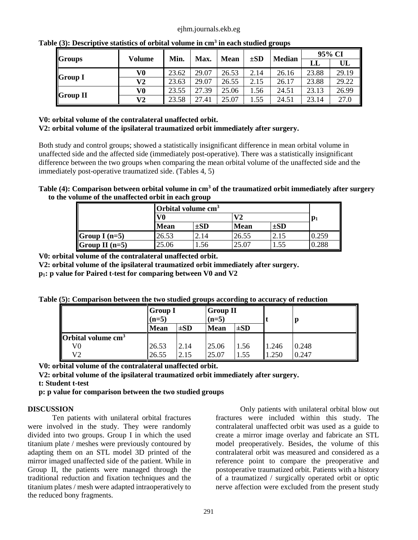|                 |        | Min.  |       |             | $\pm SD$ | <b>Median</b> | 95% CI |       |
|-----------------|--------|-------|-------|-------------|----------|---------------|--------|-------|
| <b>Groups</b>   | Volume |       | Max.  | <b>Mean</b> |          |               | LL     | UL    |
| <b>Group I</b>  | V0     | 23.62 | 29.07 | 26.53       | 2.14     | 26.16         | 23.88  | 29.19 |
|                 | V2     | 23.63 | 29.07 | 26.55       | 2.15     | 26.17         | 23.88  | 29.22 |
| <b>Group II</b> | V0     | 23.55 | 27.39 | 25.06       | .56      | 24.51         | 23.13  | 26.99 |
|                 | V2     | 23.58 | 27.41 | 25.07       | .55      | 24.51         | 23.14  | 27.0  |

**Table (3): Descriptive statistics of orbital volume in cm<sup>3</sup> in each studied groups** 

## **V0: orbital volume of the contralateral unaffected orbit.**

#### **V2: orbital volume of the ipsilateral traumatized orbit immediately after surgery.**

Both study and control groups; showed a statistically insignificant difference in mean orbital volume in unaffected side and the affected side (immediately post-operative). There was a statistically insignificant difference between the two groups when comparing the mean orbital volume of the unaffected side and the immediately post-operative traumatized side. (Tables 4, 5)

## **Table (4): Comparison between orbital volume in cm<sup>3</sup> of the traumatized orbit immediately after surgery to the volume of the unaffected orbit in each group**

|                  | Orbital volume $cm3$ |          |             |                |       |
|------------------|----------------------|----------|-------------|----------------|-------|
|                  | V0                   |          | V2          | $\mathbf{p}_1$ |       |
|                  | <b>Mean</b>          | $\pm SD$ | <b>Mean</b> | $\pm SD$       |       |
| Group I $(n=5)$  | 26.53                | 2.14     | 26.55       | 2.15           | 0.259 |
| Group II $(n=5)$ | 25.06                |          | 25.07       |                | .288  |

**V0: orbital volume of the contralateral unaffected orbit.**

**V2: orbital volume of the ipsilateral traumatized orbit immediately after surgery.**

**p1: p value for Paired t-test for comparing between V0 and V2**

**Table (5): Comparison between the two studied groups according to accuracy of reduction**

|                                        | <b>Group I</b><br>$(n=5)$ |          | <b>Group II</b><br>$(n=5)$ |          |       |       |  |
|----------------------------------------|---------------------------|----------|----------------------------|----------|-------|-------|--|
|                                        | <b>Mean</b>               | $\pm SD$ | <b>Mean</b>                | $\pm SD$ |       |       |  |
| <b>Orbital volume <math>cm3</math></b> |                           |          |                            |          |       |       |  |
| V0                                     | 26.53                     | 2.14     | 25.06                      | 1.56     | 1.246 | 0.248 |  |
| V2                                     | 26.55                     | 2.15     | 25.07                      | 1.55     | .250  | 0.247 |  |

**V0: orbital volume of the contralateral unaffected orbit.**

**V2: orbital volume of the ipsilateral traumatized orbit immediately after surgery.**

**t: Student t-test**

**p: p value for comparison between the two studied groups**

# **DISCUSSION**

Ten patients with unilateral orbital fractures were involved in the study. They were randomly divided into two groups. Group I in which the used titanium plate / meshes were previously contoured by adapting them on an STL model 3D printed of the mirror imaged unaffected side of the patient. While in Group II, the patients were managed through the traditional reduction and fixation techniques and the titanium plates / mesh were adapted intraoperatively to the reduced bony fragments.

Only patients with unilateral orbital blow out fractures were included within this study. The contralateral unaffected orbit was used as a guide to create a mirror image overlay and fabricate an STL model preoperatively. Besides, the volume of this contralateral orbit was measured and considered as a reference point to compare the preoperative and postoperative traumatized orbit. Patients with a history of a traumatized / surgically operated orbit or optic nerve affection were excluded from the present study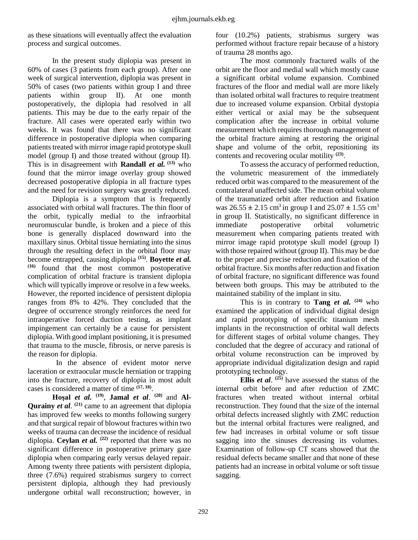as these situations will eventually affect the evaluation process and surgical outcomes.

In the present study diplopia was present in 60% of cases (3 patients from each group). After one week of surgical intervention, diplopia was present in 50% of cases (two patients within group I and three patients within group II). At one month postoperatively, the diplopia had resolved in all patients. This may be due to the early repair of the fracture. All cases were operated early within two weeks. It was found that there was no significant difference in postoperative diplopia when comparing patients treated with mirror image rapid prototype skull model (group I) and those treated without (group II). This is in disagreement with **Randall** *et al.* **(13)** who found that the mirror image overlay group showed decreased postoperative diplopia in all fracture types and the need for revision surgery was greatly reduced.

Diplopia is a symptom that is frequently associated with orbital wall fractures. The thin floor of the orbit, typically medial to the infraorbital neuromuscular bundle, is broken and a piece of this bone is generally displaced downward into the maxillary sinus. Orbital tissue herniating into the sinus through the resulting defect in the orbital floor may become entrapped, causing diplopia **(15)** . **Boyette** *et al.* **(16)** found that the most common postoperative complication of orbital fracture is transient diplopia which will typically improve or resolve in a few weeks. However, the reported incidence of persistent diplopia ranges from 8% to 42%. They concluded that the degree of occurrence strongly reinforces the need for intraoperative forced duction testing, as implant impingement can certainly be a cause for persistent diplopia. With good implant positioning, it is presumed that trauma to the muscle, fibrosis, or nerve paresis is the reason for diplopia.

 In the absence of evident motor nerve laceration or extraocular muscle herniation or trapping into the fracture, recovery of diplopia in most adult cases is considered a matter of time **(17, 18)** .

**Hoşal** *et al.* <sup>(19)</sup>, **Jamal** *et al.* <sup>(20)</sup> and **Al-**Qurainy *et al.* <sup>(21)</sup> came to an agreement that diplopia has improved few weeks to months following surgery and that surgical repair of blowout fractures within two weeks of trauma can decrease the incidence of residual diplopia. **Ceylan** *et al.* **(22)** reported that there was no significant difference in postoperative primary gaze diplopia when comparing early versus delayed repair. Among twenty three patients with persistent diplopia, three (7.6%) required strabismus surgery to correct persistent diplopia, although they had previously undergone orbital wall reconstruction; however, in

four (10.2%) patients, strabismus surgery was performed without fracture repair because of a history of trauma 28 months ago.

The most commonly fractured walls of the orbit are the floor and medial wall which mostly cause a significant orbital volume expansion. Combined fractures of the floor and medial wall are more likely than isolated orbital wall fractures to require treatment due to increased volume expansion. Orbital dystopia either vertical or axial may be the subsequent complication after the increase in orbital volume measurement which requires thorough management of the orbital fracture aiming at restoring the original shape and volume of the orbit, repositioning its contents and recovering ocular motility **(23)** .

To assess the accuracy of performed reduction, the volumetric measurement of the immediately reduced orbit was compared to the measurement of the contralateral unaffected side. The mean orbital volume of the traumatized orbit after reduction and fixation was  $26.55 \pm 2.15$  cm<sup>3</sup> in group I and  $25.07 \pm 1.55$  cm<sup>3</sup> in group II. Statistically, no significant difference in immediate postoperative orbital volumetric measurement when comparing patients treated with mirror image rapid prototype skull model (group I) with those repaired without (group II). This may be due to the proper and precise reduction and fixation of the orbital fracture. Six months after reduction and fixation of orbital fracture, no significant difference was found between both groups. This may be attributed to the maintained stability of the implant in situ.

This is in contrary to **Tang** *et al.*  $(24)$  who examined the application of individual digital design and rapid prototyping of specific titanium mesh implants in the reconstruction of orbital wall defects for different stages of orbital volume changes. They concluded that the degree of accuracy and rational of orbital volume reconstruction can be improved by appropriate individual digitalization design and rapid prototyping technology.

**Ellis** *et al*. **(25)** have assessed the status of the internal orbit before and after reduction of ZMC fractures when treated without internal orbital reconstruction. They found that the size of the internal orbital defects increased slightly with ZMC reduction but the internal orbital fractures were realigned, and few had increases in orbital volume or soft tissue sagging into the sinuses decreasing its volumes. Examination of follow-up CT scans showed that the residual defects became smaller and that none of these patients had an increase in orbital volume or soft tissue sagging.